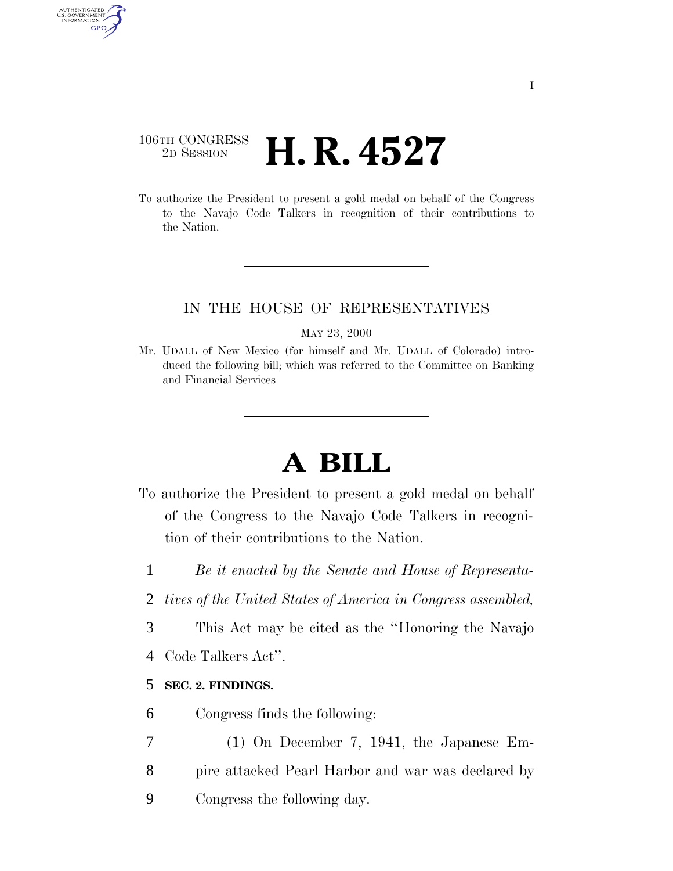## 106TH CONGRESS <sup>2D SESSION</sup> **H. R. 4527**

AUTHENTICATED U.S. GOVERNMENT GPO

> To authorize the President to present a gold medal on behalf of the Congress to the Navajo Code Talkers in recognition of their contributions to the Nation.

### IN THE HOUSE OF REPRESENTATIVES

#### MAY 23, 2000

Mr. UDALL of New Mexico (for himself and Mr. UDALL of Colorado) introduced the following bill; which was referred to the Committee on Banking and Financial Services

# **A BILL**

- To authorize the President to present a gold medal on behalf of the Congress to the Navajo Code Talkers in recognition of their contributions to the Nation.
	- 1 *Be it enacted by the Senate and House of Representa-*
	- 2 *tives of the United States of America in Congress assembled,*
	- 3 This Act may be cited as the ''Honoring the Navajo
	- 4 Code Talkers Act''.

## 5 **SEC. 2. FINDINGS.**

- 6 Congress finds the following:
- 7 (1) On December 7, 1941, the Japanese Em-8 pire attacked Pearl Harbor and war was declared by
- 9 Congress the following day.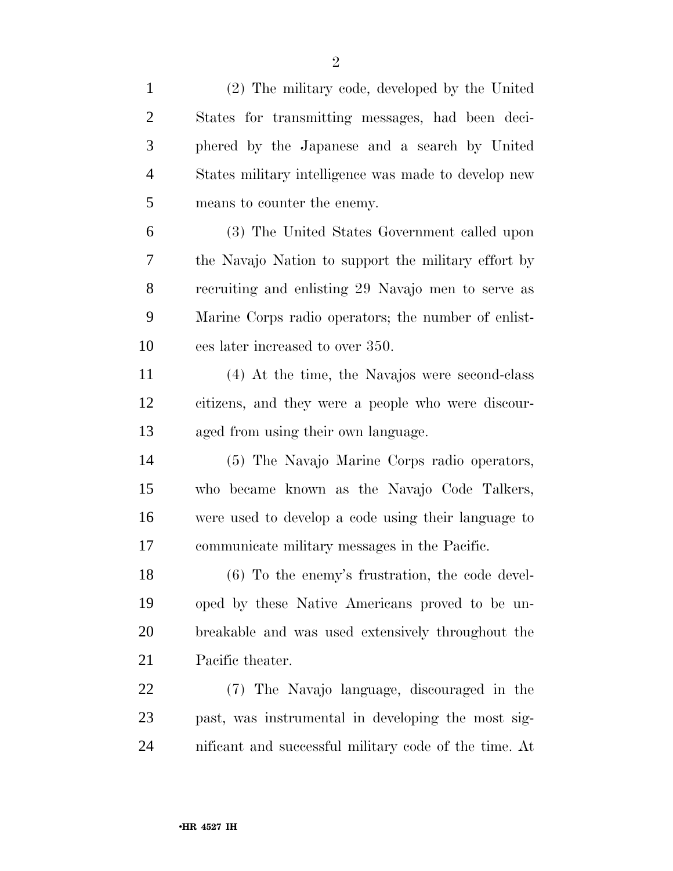| $\mathbf{1}$   | (2) The military code, developed by the United        |
|----------------|-------------------------------------------------------|
| $\overline{2}$ | States for transmitting messages, had been deci-      |
| 3              | phered by the Japanese and a search by United         |
| $\overline{4}$ | States military intelligence was made to develop new  |
| 5              | means to counter the enemy.                           |
| 6              | (3) The United States Government called upon          |
| 7              | the Navajo Nation to support the military effort by   |
| 8              | recruiting and enlisting 29 Navajo men to serve as    |
| 9              | Marine Corps radio operators; the number of enlist-   |
| 10             | ees later increased to over 350.                      |
| 11             | (4) At the time, the Navajos were second-class        |
| 12             | citizens, and they were a people who were discour-    |
| 13             | aged from using their own language.                   |
| 14             | (5) The Navajo Marine Corps radio operators,          |
| 15             | who became known as the Navajo Code Talkers,          |
| 16             | were used to develop a code using their language to   |
| 17             | communicate military messages in the Pacific.         |
| 18             | $(6)$ To the enemy's frustration, the code devel-     |
| 19             | oped by these Native Americans proved to be un-       |
| 20             | breakable and was used extensively throughout the     |
| 21             | Pacific theater.                                      |
| 22             | (7) The Navajo language, discouraged in the           |
| 23             | past, was instrumental in developing the most sig-    |
| 24             | nificant and successful military code of the time. At |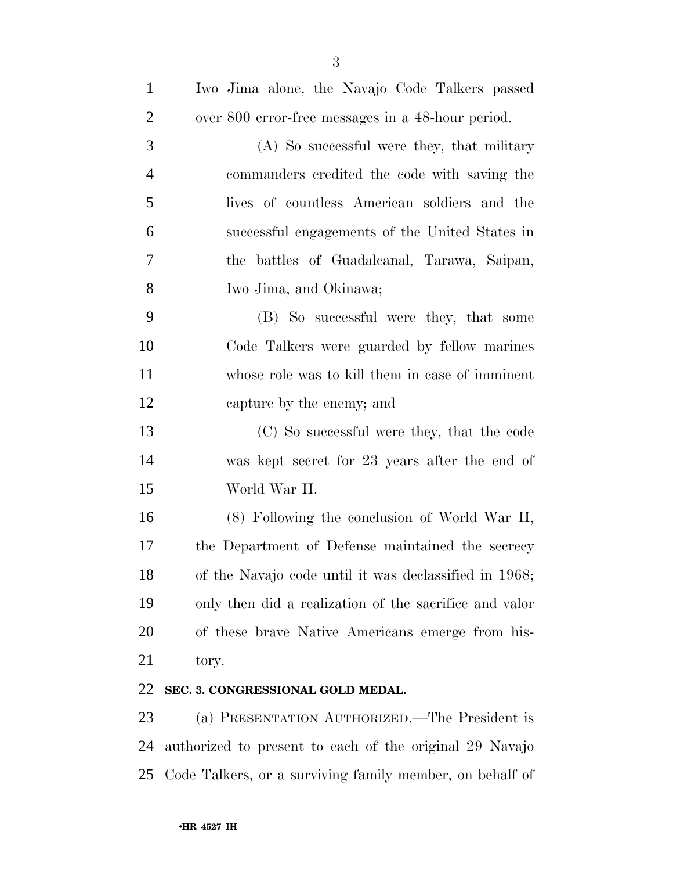| $\mathbf{1}$   | Iwo Jima alone, the Navajo Code Talkers passed          |
|----------------|---------------------------------------------------------|
| $\overline{2}$ | over 800 error-free messages in a 48-hour period.       |
| 3              | (A) So successful were they, that military              |
| 4              | commanders credited the code with saving the            |
| 5              | lives of countless American soldiers and the            |
| 6              | successful engagements of the United States in          |
| $\tau$         | the battles of Guadalcanal, Tarawa, Saipan,             |
| 8              | Iwo Jima, and Okinawa;                                  |
| 9              | (B) So successful were they, that some                  |
| 10             | Code Talkers were guarded by fellow marines             |
| 11             | whose role was to kill them in case of imminent         |
| 12             | capture by the enemy; and                               |
| 13             | (C) So successful were they, that the code              |
| 14             | was kept secret for 23 years after the end of           |
| 15             | World War II.                                           |
| 16             | (8) Following the conclusion of World War II,           |
| 17             | the Department of Defense maintained the secrecy        |
| 18             | of the Navajo code until it was declassified in 1968;   |
| 19             | only then did a realization of the sacrifice and valor  |
| 20             | of these brave Native Americans emerge from his-        |
| 21             | tory.                                                   |
| 22             | SEC. 3. CONGRESSIONAL GOLD MEDAL.                       |
| 23             | (a) PRESENTATION AUTHORIZED.—The President is           |
| 24             | authorized to present to each of the original 29 Navajo |

Code Talkers, or a surviving family member, on behalf of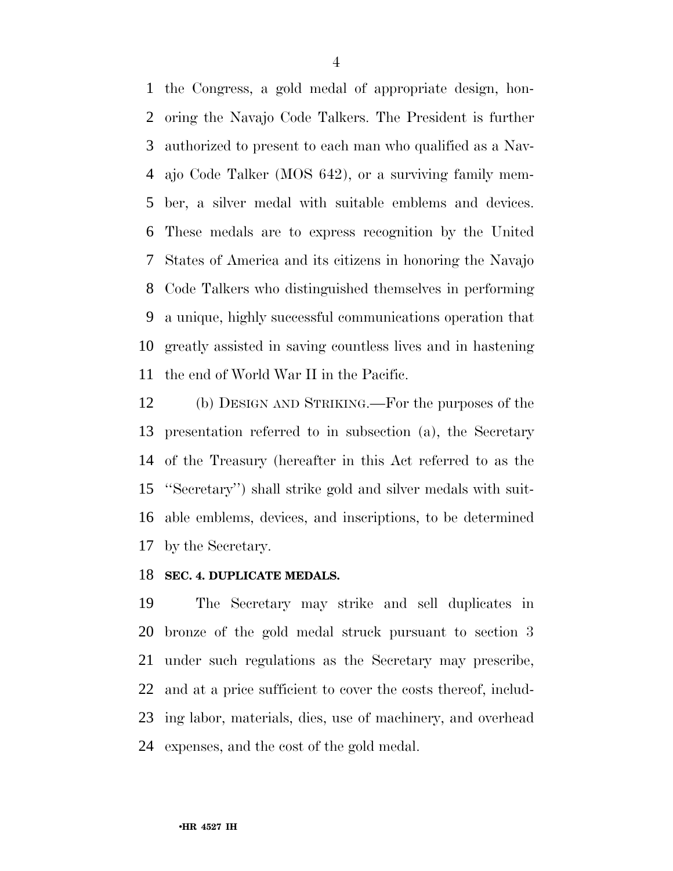the Congress, a gold medal of appropriate design, hon- oring the Navajo Code Talkers. The President is further authorized to present to each man who qualified as a Nav- ajo Code Talker (MOS 642), or a surviving family mem- ber, a silver medal with suitable emblems and devices. These medals are to express recognition by the United States of America and its citizens in honoring the Navajo Code Talkers who distinguished themselves in performing a unique, highly successful communications operation that greatly assisted in saving countless lives and in hastening the end of World War II in the Pacific.

 (b) DESIGN AND STRIKING.—For the purposes of the presentation referred to in subsection (a), the Secretary of the Treasury (hereafter in this Act referred to as the ''Secretary'') shall strike gold and silver medals with suit- able emblems, devices, and inscriptions, to be determined by the Secretary.

#### **SEC. 4. DUPLICATE MEDALS.**

 The Secretary may strike and sell duplicates in bronze of the gold medal struck pursuant to section 3 under such regulations as the Secretary may prescribe, and at a price sufficient to cover the costs thereof, includ- ing labor, materials, dies, use of machinery, and overhead expenses, and the cost of the gold medal.